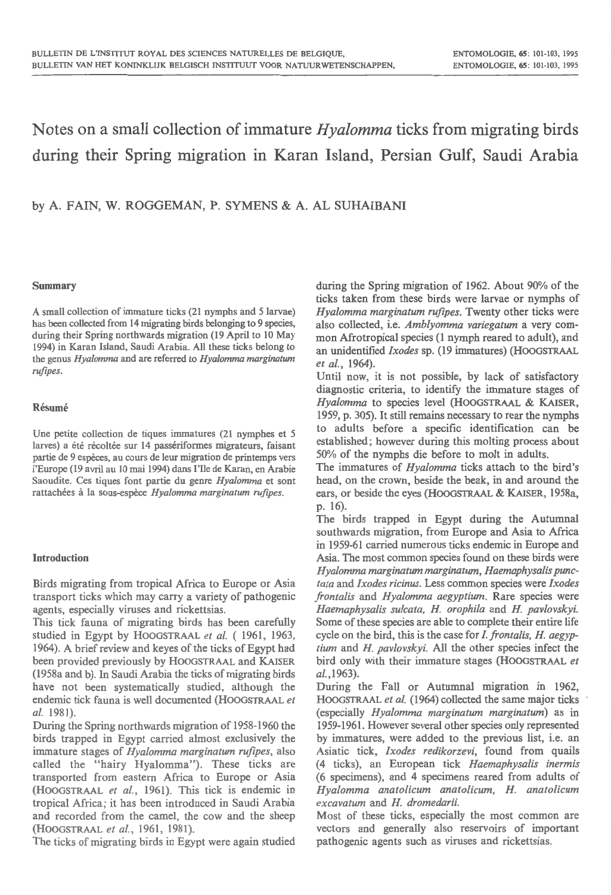# Notes on a small collection of immature *Hyalomma* ticks from migrating birds during their Spring migration in Karan Island, Persian Gulf, Saudi Arabia

by A. FAIN, W. ROGGEMAN, P. SYMENS & A. AL SUHAIBANI

#### Summary

A small collection of immature ticks (21 nymphs and 5 larvae) has been collected from 14 migrating birds belonging to 9 species, during their Spring northwards migration (19 April to 10 May 1994) in Karan Island, Saudi Arabia. All these ticks belong to the genus *Hya/omma* and are referred to *Hya/omma marginatum ruflpes.* 

# Résumé

Une petite collection de tiques immatures (21 nymphes et 5 larves) a été récoltée sur 14 passériformes migrateurs, faisant partie de 9 especes, au cours de leur migration de printemps vers l'Europe (19 avril au 10 mai 1994) dans I'lle de Karan, en Arabie Saoudite. Ces tiques font partie du genre *Hyalomma* et sont rattachées à la sous-espèce Hyalomma marginatum rufipes.

# Introduction

Birds migrating from tropical Africa to Europe or Asia transport ticks which may carry a variety of pathogenic agents, especially viruses and rickettsias.

This tick fauna of migrating birds has been carefully studied in Egypt by HOOGSTRAAL *et al.* ( 1961, 1963, 1964). A brief review and keyes of the ticks of Egypt had been provided previously by HOOGSTRAAL and KAISER (1958a and b).In Saudi Arabia the ticks of migrating birds have not been systematically studied, although the endemic tick fauna is well documented (HOOGSTRAAL *et al.* 1981).

During the Spring northwards migration of 1958-1960 the birds trapped in Egypt carried almost exclusively the immature stages of *Hyalomma marginatwn rufipes,* also called the "hairy Hyalomma"). These ticks are transported from eastern Africa to Europe or Asia (HOOGSTRAAL *et al.,* 1961). This tick is endemic in tropical Africa; it has been introduced in Saudi Arabia and recorded from the camel, the cow and the sheep (HOOGSTRAAL et al., 1961, 1981).

The ticks of migrating birds in Egypt were again studied

during the Spring migration of 1962. About 90% of the ticks taken from these birds were larvae or nymphs of *Hyalomma marginatum rufipes.* Twenty other ticks were also collected, i.e. *Amblyomma variegatum* a very common Afrotropical species (1 nymph reared to adult), and an unidentified *Ixodes* sp. (19 immatures) (HOOGSTRAAL *et al.,* 1964).

Until now, it is not possible, by lack of satisfactory diagnostic criteria, to identify the immature stages of *Hyalomma* to species level (HOOGSTRAAL & KAISER, 1959, p. 305). It still remains necessary to rear the nymphs to adults before a specific identification can be established; however during this malting process about 50% of the nymphs die before to molt in adults.

The immatures of *Hyalomma* ticks attach to the bird's head, on the crown, beside the beak, in and around the ears, or beside the eyes (HOOGSTRAAL & KAISER, 1958a, p. 16).

The birds trapped in Egypt during the Autumnal southwards migration, from Europe and Asia to Africa in 1959-61 carried numerous ticks endemic in Europe and Asia. The most common species found on these birds were *Hyalomma marginatum marginatum, Haemaphysalis punctata* and *Ixodes ricinus.* Less common species were *Ixodes frontalis* and *Hyalomma aegyptium.* Rare species were *Haemaphysalis sulcata,* H. *orophila* and H. *pavlovskyi.*  Some of these species are able to complete their entire life cycle on the bird, this is the case for I. *frontalis,* H. *aegyptium* and H. *pavlovskyi.* All the other species infect the bird only with their immature stages (HOOGSTRAAL *et*  al.,1963).

During the Fall or Autumnal migration in 1962, HOOGSTRAAL *et al.* (1964) collected the same major ticks (especially *Hyalomma marginatum marginatum)* as in 1959-1961 . However several other species only represented by immatures, were added to the previous list, i.e. an Asiatic tick, *Ixodes redikorzevi,* found from quails (4 ticks), an European tick *Haemaphysalis inermis*  (6 specimens), and 4 specimens reared from adults of *Hyalomma anatolicum anatolicum, H. anatolicum excavatum* and H. *dromedarii.* 

Most of these ticks, especially the most common are vectors and generally also reservoirs of important pathogenic agents such as viruses and rickettsias.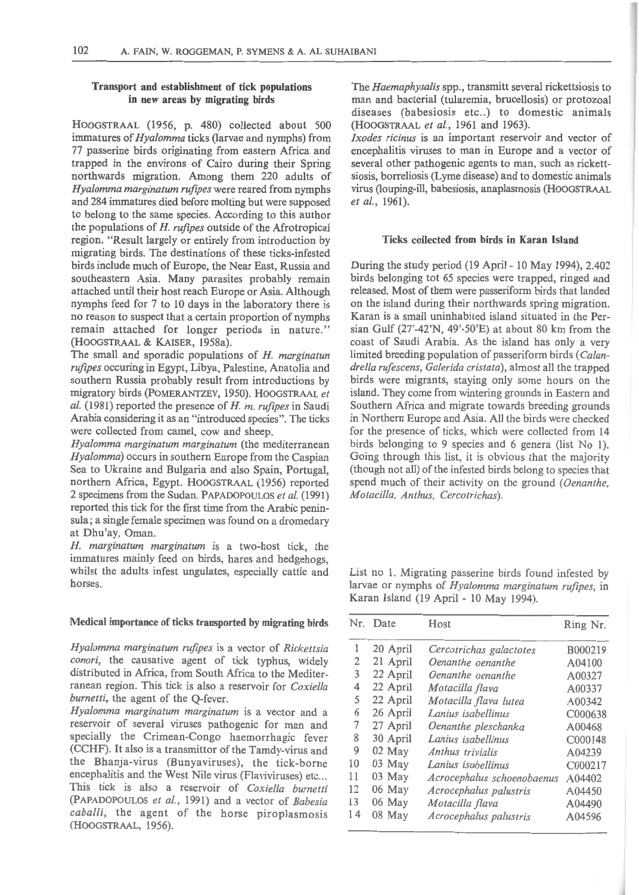### **Transport and establishment of tick populations in new areas by migrating birds**

HOOGSTRAAL (1956, p. 480) collected about 500 immatures of *Hyalomma* ticks (larvae and nymphs) from 77 passerine birds originating from eastern Africa and trapped in the environs of Cairo during their Spring northwards migration. Among them 220 adults of *Hyalomma marginatum rufipes* were reared from nymphs and 284 immatures died before molting but were supposed to belong to the same species. According to this author the populations of H. *rufipes* outside of the Afrotropical region. "Result largely or entirely from introduction by migrating birds. The destinations of these ticks-infested birds include much of Europe, the Near East, Russia and southeastern Asia. Many parasites probably remain attached until their host reach Europe or Asia. Although nymphs feed for 7 to 10 days in the laboratory there is no reason to suspect that a certain proportion of nymphs remain attached for longer periods in nature." (HOOGSTRAAL & KAISER, 1958a).

The small and sporadic populations of H. *marginatun rufipes* occuring in Egypt, Libya, Palestine, Anatolia and southern Russia probably result from introductions by migratory birds (POMERANTZEV, 1950). HOOGSTRAAL *et al.* (1981) reported the presence of H. *m. rufipes* in Saudi Arabia considering it as an "introduced species". The ticks were collected from camel, cow and sheep.

*Hyalomma marginatum marginatum* (the mediterranean *Hyalomma)* occurs in southern Europe from the Caspian Sea to Ukraine and Bulgaria and also Spain, Portugal, northern Africa, Egypt. HOOGSTRAAL (1956) reported 2 specimens from the Sudan. PAPADOPOULOS *et al.* (1991) reported this tick for the first time from the Arabic peninsula; a single female specimen was found on a dromedary at Dhu'ay, Oman.

H. *marginatum marginatum* is a two-host tick, the immatures mainly feed on birds, hares and hedgehogs, whilst the adults infest ungulates, especially cattle and horses.

#### **Medical importance of ticks transported by migrating birds**

*Hyalomma marginatum rufipes* is a vector of *Rickettsia conori,* the causative agent of tick typhus, widely distributed in Africa, from South Africa to the Mediterranean region. This tick is also a reservoir for *Coxiella burnetti,* the agent of the Q-fever.

*Hyalomma marginatum marginatum* is a vector and a reservoir of several viruses pathogenic for man and specially the Crimean-Congo haemorrhagic fever (CCHF). It also is a transmittor of the Tamdy-virus and the Bhanja-virus (Bunyaviruses), the tick-borne encephalitis and the West Nile virus (Flaviviruses) etc... This tick is also a reservoir of *Coxiella burnetti*  (PAPADOPOULOS *et al.,* 1991) and a vector of *Babesia caballi,* the agent of the horse piroplasmosis (HOOGSTRAAL, 1956).

The *Haemaphysalis* spp., transmitt several rickettsiosis to man and bacterial (tularemia, brucellosis) or protozoa! diseases (babesiosis etc..) to domestic animals (HOOGSTRAAL *et al.,* 1961 and 1963).

*Ixodes ricinus* is an important reservoir and vector of encephalitis viruses to man in Europe and a vector of several other pathogenic agents to man, such as rickettsiosis, borreliosis (Lyme disease) and to domestic animals virus (louping-ill, babesiosis, anaplasmosis (HOOGSTRAAL *et al.,* 1961).

#### **Ticks collected from birds in Karan Island**

During the study period (19 April - 10 May 1994), 2.402 birds belonging tot 65 species were trapped, ringed and released. Most of them were passeriform birds that landed on the island during their northwards spring migration. Karan is a small uninhabited island situated in the Persian Gulf (27'-42'N, 49'-50'E) at about 80 km from the coast of Saudi Arabia. As the island has only a very limited breeding population of passeriform birds ( *Calandrella rufescens, Galerida cristata),* almost all the trapped birds were migrants, staying only some hours on the island. They come from wintering grounds in Eastern and Southern Africa and migrate towards breeding grounds in Northern Europe and Asia. All the birds were checked for the presence of ticks, which were collected from 14 birds belonging to 9 species and 6 genera (list No 1). Going through this list, it is obvious that the majority (though not all) of the infested birds belong to species that spend much of their activity on the ground (*Oenanthe*, *Motacilla, Anthus, Cercotrichas).* 

List no 1. Migrating passerine birds found infested by larvae or nymphs of *Hyalomma marginatum rufipes,* in Karan Island (19 April - JO May 1994).

|    | Nr. Date | Host                       | Ring Nr. |
|----|----------|----------------------------|----------|
| 1  | 20 April | Cercotrichas galactotes    | B000219  |
| 2  | 21 April | Oenanthe oenanthe          | A04100   |
| 3  | 22 April | Oenanthe oenanthe          | A00327   |
| 4  | 22 April | Motacilla flava            | A00337   |
| 5  | 22 April | Motacilla flava lutea      | A00342   |
| 6  | 26 April | Lanius isabellinus         | C000638  |
| 7  | 27 April | Oenanthe pleschanka        | A00468   |
| 8  | 30 April | Lanius isabellinus         | C000148  |
| 9  | 02 May   | Anthus trivialis           | A04239   |
| 10 | $03$ May | Lanius isabellinus         | C000217  |
| 11 | 03 May   | Acrocephalus schoenobaenus | A04402   |
| 12 | 06 May   | Acrocephalus palustris     | A04450   |
| 13 | 06 May   | Motacilla flava            | A04490   |
| 14 | 08 May   | Acrocephalus palustris     | A04596   |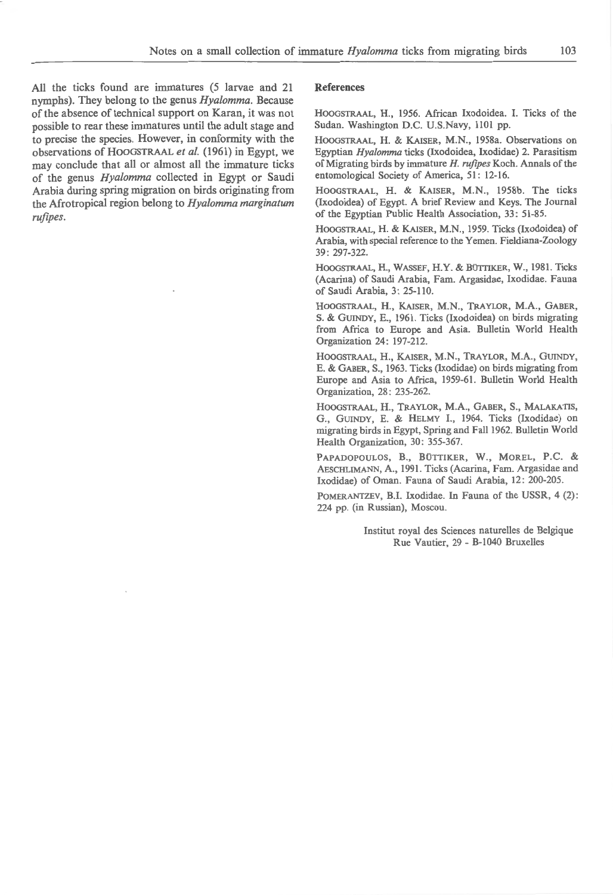All the ticks found are immatures (5 larvae and 21 nymphs). They belong to the genus *Hyalomma.* Because of the absence of technical support on Karan, it was not possible to rear these immatures until the adult stage and to precise the species. However, in conformity with the observations of HOOGSTRAAL *et al.* (1961) in Egypt, we may conclude that all or almost all the immature ticks of the genus *Hyalomma* collected in Egypt or Saudi Arabia during spring migration on birds originating from the Afrotropical region belong to *Hyalomma marginatum ruflpes.* 

#### **References**

HOOGSTRAAL, H., 1956. African Ixodoidea. I. Ticks of the Sudan. Washington D.C. U.S.Navy, 1101 pp.

HOOGSTRAAL, H. & KAISER, M.N., 1958a. Observations on Egyptian *Hya/omma* ticks (Ixodoidea, Ixodidae) 2. Parasitism of Migrating birds by immature *H. rufipes* Koch. Annals of the entomological Society of America, 51: 12-16.

HOOGSTRAAL, H. & KAISER, M.N., 1958b. The ticks (Ixodoidea) of Egypt. A brief Review and Keys. The Journal of the Egyptian Public Health Association, 33: 51-85.

HOOGSTRAAL, H. & KAISER, M.N., 1959. Ticks (Ixodoidea) of Arabia, with special reference to the Yemen. Fieldiana-Zoology 39: 297-322.

HOOGSTRAAL, H., WASSEF, H.Y. & BÜTTIKER, W., 1981. Ticks (Acarina) of Saudi Arabia, Fam. Argasidae, Ixodidae. Fauna of Saudi Arabia, 3: 25-110.

HOOGSTRAAL, H., KAISER, M.N., TRAYLOR, M.A., GABER, S. & GUINDY, E., 1961. Ticks (Ixodoidea) on birds migrating from Africa to Europe and Asia. Bulletin World Health Organization 24: 197-212.

HOOGSTRAAL, H., KAISER, M.N. , TRAYLOR, M.A., GUINDY, E. & GABER, S., 1963. Ticks (Ixodidae) on birds migrating from Europe and Asia to Africa, 1959-61. Bulletin World Health Organization, 28: 235-262.

HOOGSTRAAL, H., TRAYLOR, M.A., GABER, S., MALAKATIS, G., GUINDY, E. & HELMY I., 1964. Ticks (Ixodidae) on migrating birds in Egypt, Spring and Fall 1962. Bulletin World Health Organization, 30: 355-367.

PAPADOPOULOS, B., BÜTTIKER, W., MOREL, P.C. & AESCHLIMANN, A., 1991. Ticks (Acarina, Fam. Argasidae and Ixodidae) of Oman. Fauna of Saudi Arabia, 12: 200-205.

POMERANTZEV, B.I. lxodidae. In Fauna of the USSR, 4 (2): 224 pp. (in Russian), Moscou.

> Institut royal des Sciences naturelles de Belgique Rue Vautier, 29 - B-1040 Bruxelles